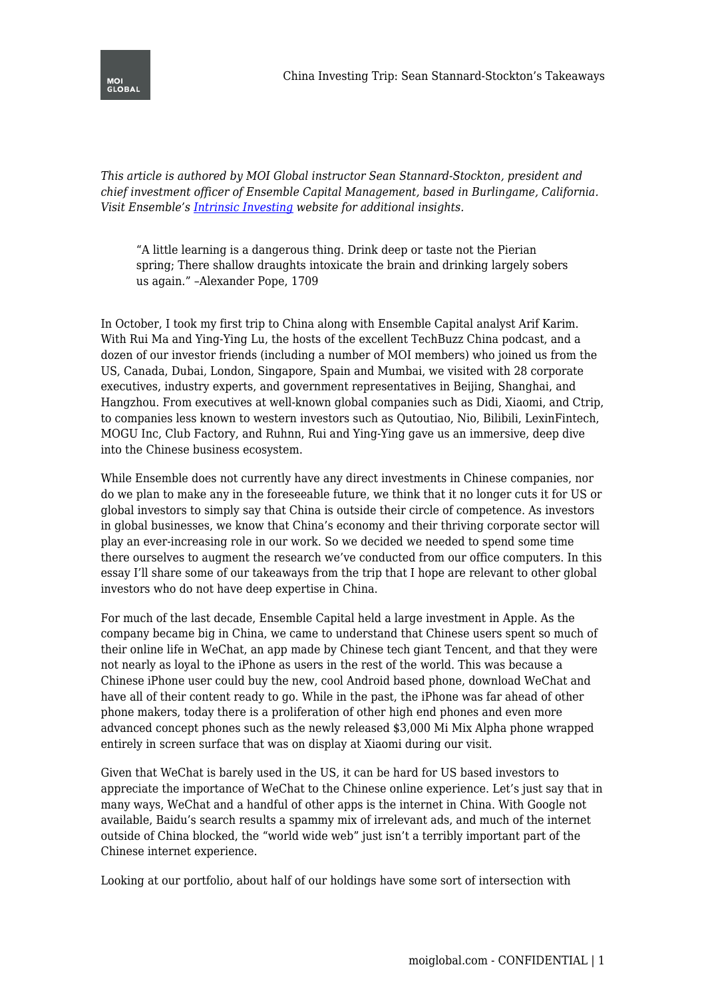*This article is authored by MOI Global instructor Sean Stannard-Stockton, president and chief investment officer of Ensemble Capital Management, based in Burlingame, California. Visit Ensemble's [Intrinsic Investing](https://intrinsicinvesting.com/) website for additional insights.*

"A little learning is a dangerous thing. Drink deep or taste not the Pierian spring; There shallow draughts intoxicate the brain and drinking largely sobers us again." –Alexander Pope, 1709

In October, I took my first trip to China along with Ensemble Capital analyst Arif Karim. With Rui Ma and Ying-Ying Lu, the hosts of the excellent TechBuzz China podcast, and a dozen of our investor friends (including a number of MOI members) who joined us from the US, Canada, Dubai, London, Singapore, Spain and Mumbai, we visited with 28 corporate executives, industry experts, and government representatives in Beijing, Shanghai, and Hangzhou. From executives at well-known global companies such as Didi, Xiaomi, and Ctrip, to companies less known to western investors such as Qutoutiao, Nio, Bilibili, LexinFintech, MOGU Inc, Club Factory, and Ruhnn, Rui and Ying-Ying gave us an immersive, deep dive into the Chinese business ecosystem.

While Ensemble does not currently have any direct investments in Chinese companies, nor do we plan to make any in the foreseeable future, we think that it no longer cuts it for US or global investors to simply say that China is outside their circle of competence. As investors in global businesses, we know that China's economy and their thriving corporate sector will play an ever-increasing role in our work. So we decided we needed to spend some time there ourselves to augment the research we've conducted from our office computers. In this essay I'll share some of our takeaways from the trip that I hope are relevant to other global investors who do not have deep expertise in China.

For much of the last decade, Ensemble Capital held a large investment in Apple. As the company became big in China, we came to understand that Chinese users spent so much of their online life in WeChat, an app made by Chinese tech giant Tencent, and that they were not nearly as loyal to the iPhone as users in the rest of the world. This was because a Chinese iPhone user could buy the new, cool Android based phone, download WeChat and have all of their content ready to go. While in the past, the iPhone was far ahead of other phone makers, today there is a proliferation of other high end phones and even more advanced concept phones such as the newly released \$3,000 Mi Mix Alpha phone wrapped entirely in screen surface that was on display at Xiaomi during our visit.

Given that WeChat is barely used in the US, it can be hard for US based investors to appreciate the importance of WeChat to the Chinese online experience. Let's just say that in many ways, WeChat and a handful of other apps is the internet in China. With Google not available, Baidu's search results a spammy mix of irrelevant ads, and much of the internet outside of China blocked, the "world wide web" just isn't a terribly important part of the Chinese internet experience.

Looking at our portfolio, about half of our holdings have some sort of intersection with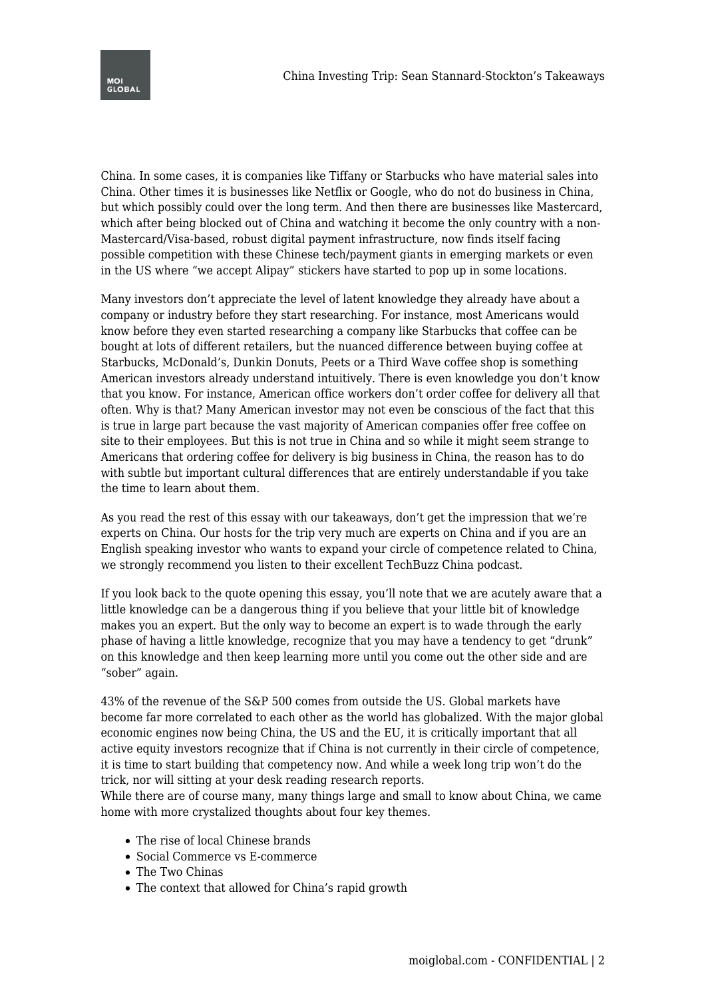

China. In some cases, it is companies like Tiffany or Starbucks who have material sales into China. Other times it is businesses like Netflix or Google, who do not do business in China, but which possibly could over the long term. And then there are businesses like Mastercard, which after being blocked out of China and watching it become the only country with a non-Mastercard/Visa-based, robust digital payment infrastructure, now finds itself facing possible competition with these Chinese tech/payment giants in emerging markets or even in the US where "we accept Alipay" stickers have started to pop up in some locations.

Many investors don't appreciate the level of latent knowledge they already have about a company or industry before they start researching. For instance, most Americans would know before they even started researching a company like Starbucks that coffee can be bought at lots of different retailers, but the nuanced difference between buying coffee at Starbucks, McDonald's, Dunkin Donuts, Peets or a Third Wave coffee shop is something American investors already understand intuitively. There is even knowledge you don't know that you know. For instance, American office workers don't order coffee for delivery all that often. Why is that? Many American investor may not even be conscious of the fact that this is true in large part because the vast majority of American companies offer free coffee on site to their employees. But this is not true in China and so while it might seem strange to Americans that ordering coffee for delivery is big business in China, the reason has to do with subtle but important cultural differences that are entirely understandable if you take the time to learn about them.

As you read the rest of this essay with our takeaways, don't get the impression that we're experts on China. Our hosts for the trip very much are experts on China and if you are an English speaking investor who wants to expand your circle of competence related to China, we strongly recommend you listen to their excellent TechBuzz China podcast.

If you look back to the quote opening this essay, you'll note that we are acutely aware that a little knowledge can be a dangerous thing if you believe that your little bit of knowledge makes you an expert. But the only way to become an expert is to wade through the early phase of having a little knowledge, recognize that you may have a tendency to get "drunk" on this knowledge and then keep learning more until you come out the other side and are "sober" again.

43% of the revenue of the S&P 500 comes from outside the US. Global markets have become far more correlated to each other as the world has globalized. With the major global economic engines now being China, the US and the EU, it is critically important that all active equity investors recognize that if China is not currently in their circle of competence, it is time to start building that competency now. And while a week long trip won't do the trick, nor will sitting at your desk reading research reports.

While there are of course many, many things large and small to know about China, we came home with more crystalized thoughts about four key themes.

- The rise of local Chinese brands
- Social Commerce vs E-commerce
- The Two Chinas
- The context that allowed for China's rapid growth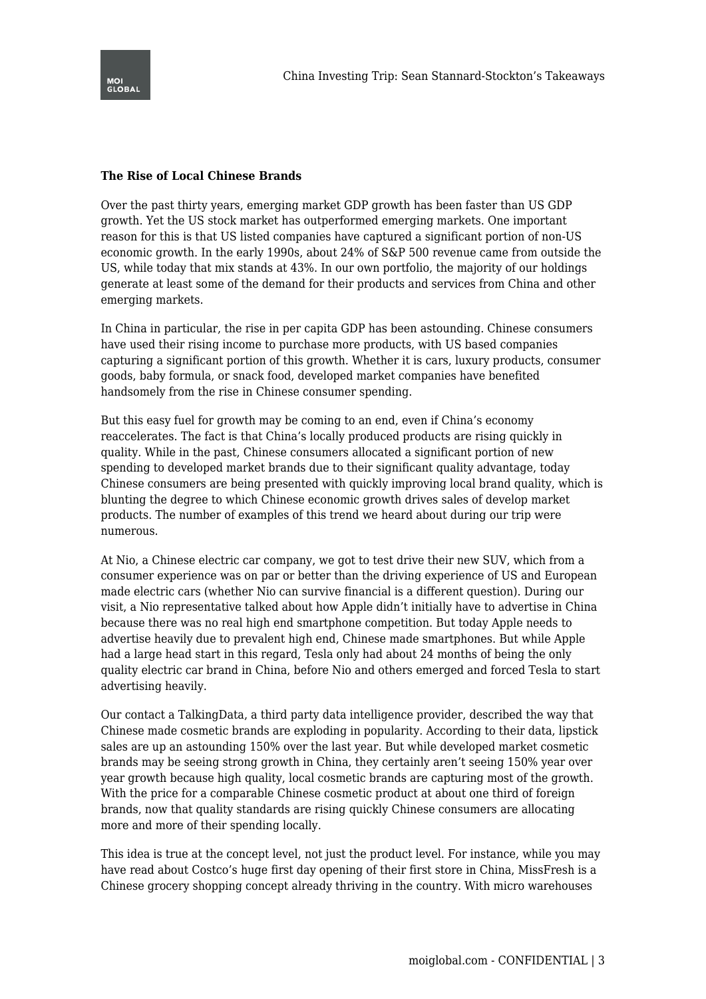

## **The Rise of Local Chinese Brands**

Over the past thirty years, emerging market GDP growth has been faster than US GDP growth. Yet the US stock market has outperformed emerging markets. One important reason for this is that US listed companies have captured a significant portion of non-US economic growth. In the early 1990s, about 24% of S&P 500 revenue came from outside the US, while today that mix stands at 43%. In our own portfolio, the majority of our holdings generate at least some of the demand for their products and services from China and other emerging markets.

In China in particular, the rise in per capita GDP has been astounding. Chinese consumers have used their rising income to purchase more products, with US based companies capturing a significant portion of this growth. Whether it is cars, luxury products, consumer goods, baby formula, or snack food, developed market companies have benefited handsomely from the rise in Chinese consumer spending.

But this easy fuel for growth may be coming to an end, even if China's economy reaccelerates. The fact is that China's locally produced products are rising quickly in quality. While in the past, Chinese consumers allocated a significant portion of new spending to developed market brands due to their significant quality advantage, today Chinese consumers are being presented with quickly improving local brand quality, which is blunting the degree to which Chinese economic growth drives sales of develop market products. The number of examples of this trend we heard about during our trip were numerous.

At Nio, a Chinese electric car company, we got to test drive their new SUV, which from a consumer experience was on par or better than the driving experience of US and European made electric cars (whether Nio can survive financial is a different question). During our visit, a Nio representative talked about how Apple didn't initially have to advertise in China because there was no real high end smartphone competition. But today Apple needs to advertise heavily due to prevalent high end, Chinese made smartphones. But while Apple had a large head start in this regard, Tesla only had about 24 months of being the only quality electric car brand in China, before Nio and others emerged and forced Tesla to start advertising heavily.

Our contact a TalkingData, a third party data intelligence provider, described the way that Chinese made cosmetic brands are exploding in popularity. According to their data, lipstick sales are up an astounding 150% over the last year. But while developed market cosmetic brands may be seeing strong growth in China, they certainly aren't seeing 150% year over year growth because high quality, local cosmetic brands are capturing most of the growth. With the price for a comparable Chinese cosmetic product at about one third of foreign brands, now that quality standards are rising quickly Chinese consumers are allocating more and more of their spending locally.

This idea is true at the concept level, not just the product level. For instance, while you may have read about Costco's huge first day opening of their first store in China, MissFresh is a Chinese grocery shopping concept already thriving in the country. With micro warehouses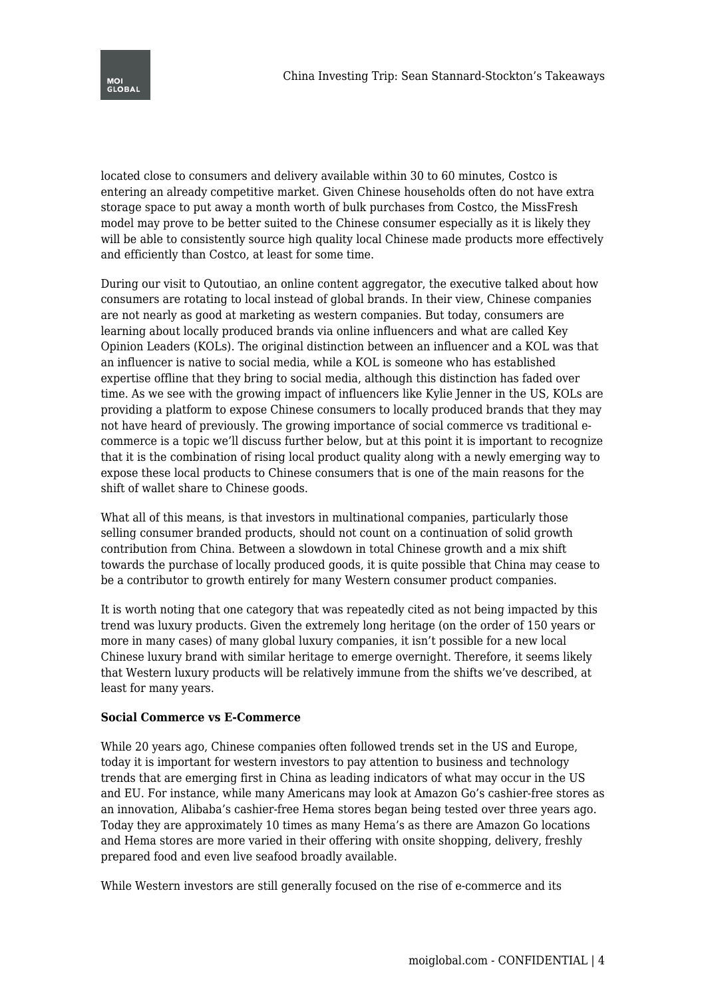

located close to consumers and delivery available within 30 to 60 minutes, Costco is entering an already competitive market. Given Chinese households often do not have extra storage space to put away a month worth of bulk purchases from Costco, the MissFresh model may prove to be better suited to the Chinese consumer especially as it is likely they will be able to consistently source high quality local Chinese made products more effectively and efficiently than Costco, at least for some time.

During our visit to Qutoutiao, an online content aggregator, the executive talked about how consumers are rotating to local instead of global brands. In their view, Chinese companies are not nearly as good at marketing as western companies. But today, consumers are learning about locally produced brands via online influencers and what are called Key Opinion Leaders (KOLs). The original distinction between an influencer and a KOL was that an influencer is native to social media, while a KOL is someone who has established expertise offline that they bring to social media, although this distinction has faded over time. As we see with the growing impact of influencers like Kylie Jenner in the US, KOLs are providing a platform to expose Chinese consumers to locally produced brands that they may not have heard of previously. The growing importance of social commerce vs traditional ecommerce is a topic we'll discuss further below, but at this point it is important to recognize that it is the combination of rising local product quality along with a newly emerging way to expose these local products to Chinese consumers that is one of the main reasons for the shift of wallet share to Chinese goods.

What all of this means, is that investors in multinational companies, particularly those selling consumer branded products, should not count on a continuation of solid growth contribution from China. Between a slowdown in total Chinese growth and a mix shift towards the purchase of locally produced goods, it is quite possible that China may cease to be a contributor to growth entirely for many Western consumer product companies.

It is worth noting that one category that was repeatedly cited as not being impacted by this trend was luxury products. Given the extremely long heritage (on the order of 150 years or more in many cases) of many global luxury companies, it isn't possible for a new local Chinese luxury brand with similar heritage to emerge overnight. Therefore, it seems likely that Western luxury products will be relatively immune from the shifts we've described, at least for many years.

## **Social Commerce vs E-Commerce**

While 20 years ago, Chinese companies often followed trends set in the US and Europe, today it is important for western investors to pay attention to business and technology trends that are emerging first in China as leading indicators of what may occur in the US and EU. For instance, while many Americans may look at Amazon Go's cashier-free stores as an innovation, Alibaba's cashier-free Hema stores began being tested over three years ago. Today they are approximately 10 times as many Hema's as there are Amazon Go locations and Hema stores are more varied in their offering with onsite shopping, delivery, freshly prepared food and even live seafood broadly available.

While Western investors are still generally focused on the rise of e-commerce and its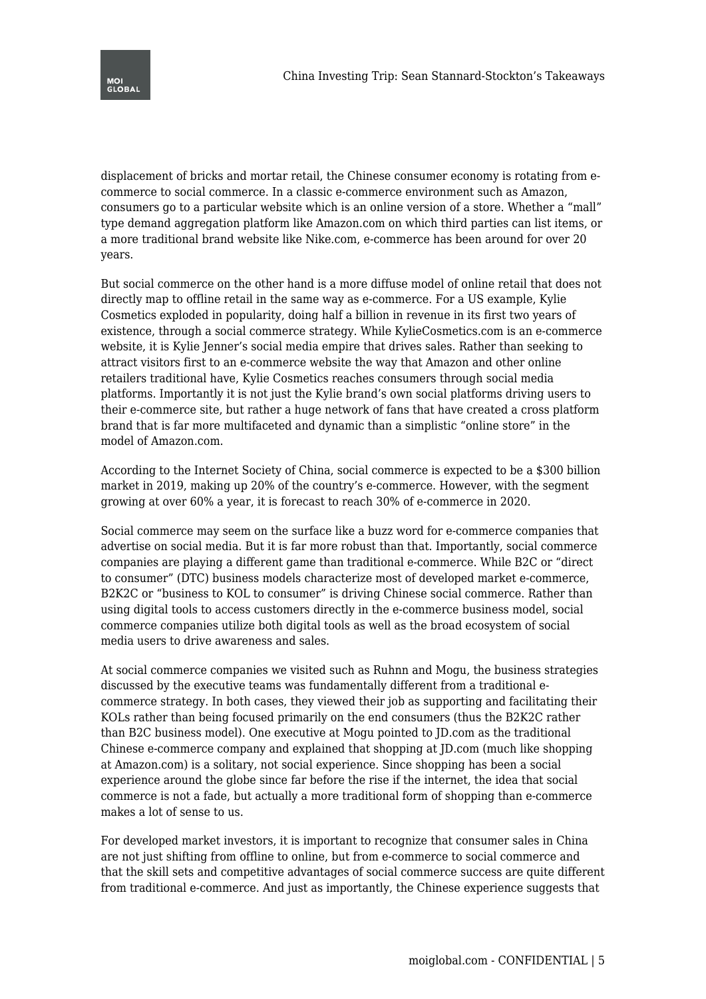

displacement of bricks and mortar retail, the Chinese consumer economy is rotating from ecommerce to social commerce. In a classic e-commerce environment such as Amazon, consumers go to a particular website which is an online version of a store. Whether a "mall" type demand aggregation platform like Amazon.com on which third parties can list items, or a more traditional brand website like Nike.com, e-commerce has been around for over 20 years.

But social commerce on the other hand is a more diffuse model of online retail that does not directly map to offline retail in the same way as e-commerce. For a US example, Kylie Cosmetics exploded in popularity, doing half a billion in revenue in its first two years of existence, through a social commerce strategy. While KylieCosmetics.com is an e-commerce website, it is Kylie Jenner's social media empire that drives sales. Rather than seeking to attract visitors first to an e-commerce website the way that Amazon and other online retailers traditional have, Kylie Cosmetics reaches consumers through social media platforms. Importantly it is not just the Kylie brand's own social platforms driving users to their e-commerce site, but rather a huge network of fans that have created a cross platform brand that is far more multifaceted and dynamic than a simplistic "online store" in the model of Amazon.com.

According to the Internet Society of China, social commerce is expected to be a \$300 billion market in 2019, making up 20% of the country's e-commerce. However, with the segment growing at over 60% a year, it is forecast to reach 30% of e-commerce in 2020.

Social commerce may seem on the surface like a buzz word for e-commerce companies that advertise on social media. But it is far more robust than that. Importantly, social commerce companies are playing a different game than traditional e-commerce. While B2C or "direct to consumer" (DTC) business models characterize most of developed market e-commerce, B2K2C or "business to KOL to consumer" is driving Chinese social commerce. Rather than using digital tools to access customers directly in the e-commerce business model, social commerce companies utilize both digital tools as well as the broad ecosystem of social media users to drive awareness and sales.

At social commerce companies we visited such as Ruhnn and Mogu, the business strategies discussed by the executive teams was fundamentally different from a traditional ecommerce strategy. In both cases, they viewed their job as supporting and facilitating their KOLs rather than being focused primarily on the end consumers (thus the B2K2C rather than B2C business model). One executive at Mogu pointed to JD.com as the traditional Chinese e-commerce company and explained that shopping at JD.com (much like shopping at Amazon.com) is a solitary, not social experience. Since shopping has been a social experience around the globe since far before the rise if the internet, the idea that social commerce is not a fade, but actually a more traditional form of shopping than e-commerce makes a lot of sense to us.

For developed market investors, it is important to recognize that consumer sales in China are not just shifting from offline to online, but from e-commerce to social commerce and that the skill sets and competitive advantages of social commerce success are quite different from traditional e-commerce. And just as importantly, the Chinese experience suggests that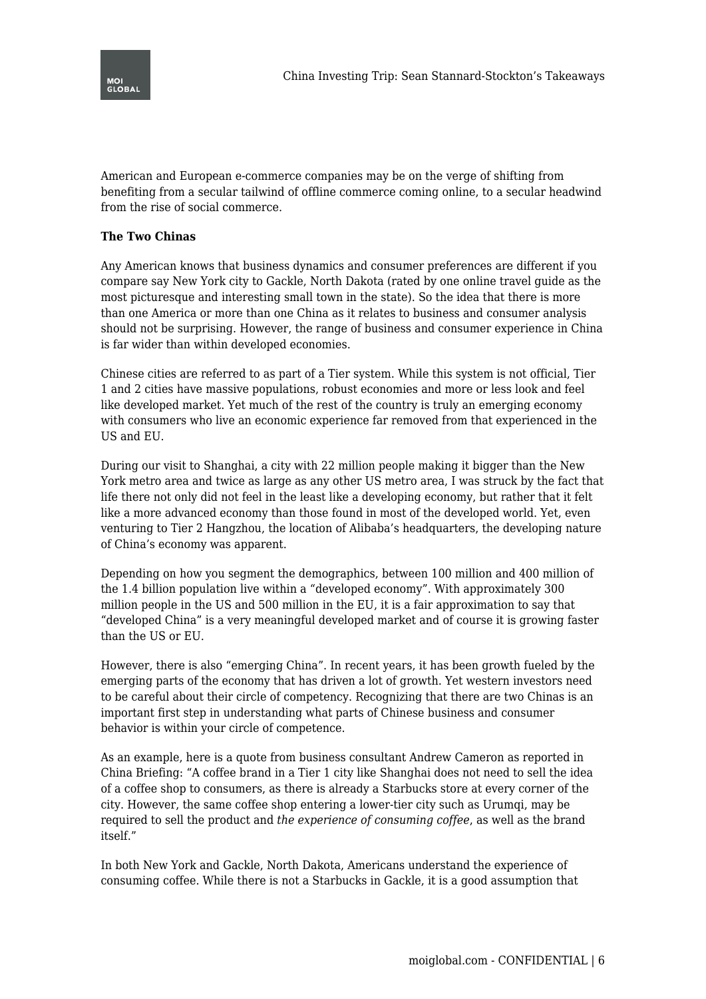

American and European e-commerce companies may be on the verge of shifting from benefiting from a secular tailwind of offline commerce coming online, to a secular headwind from the rise of social commerce.

## **The Two Chinas**

Any American knows that business dynamics and consumer preferences are different if you compare say New York city to Gackle, North Dakota (rated by one online travel guide as the most picturesque and interesting small town in the state). So the idea that there is more than one America or more than one China as it relates to business and consumer analysis should not be surprising. However, the range of business and consumer experience in China is far wider than within developed economies.

Chinese cities are referred to as part of a Tier system. While this system is not official, Tier 1 and 2 cities have massive populations, robust economies and more or less look and feel like developed market. Yet much of the rest of the country is truly an emerging economy with consumers who live an economic experience far removed from that experienced in the US and EU.

During our visit to Shanghai, a city with 22 million people making it bigger than the New York metro area and twice as large as any other US metro area, I was struck by the fact that life there not only did not feel in the least like a developing economy, but rather that it felt like a more advanced economy than those found in most of the developed world. Yet, even venturing to Tier 2 Hangzhou, the location of Alibaba's headquarters, the developing nature of China's economy was apparent.

Depending on how you segment the demographics, between 100 million and 400 million of the 1.4 billion population live within a "developed economy". With approximately 300 million people in the US and 500 million in the EU, it is a fair approximation to say that "developed China" is a very meaningful developed market and of course it is growing faster than the US or EU.

However, there is also "emerging China". In recent years, it has been growth fueled by the emerging parts of the economy that has driven a lot of growth. Yet western investors need to be careful about their circle of competency. Recognizing that there are two Chinas is an important first step in understanding what parts of Chinese business and consumer behavior is within your circle of competence.

As an example, here is a quote from business consultant Andrew Cameron as reported in China Briefing: "A coffee brand in a Tier 1 city like Shanghai does not need to sell the idea of a coffee shop to consumers, as there is already a Starbucks store at every corner of the city. However, the same coffee shop entering a lower-tier city such as Urumqi, may be required to sell the product and *the experience of consuming coffee*, as well as the brand itself."

In both New York and Gackle, North Dakota, Americans understand the experience of consuming coffee. While there is not a Starbucks in Gackle, it is a good assumption that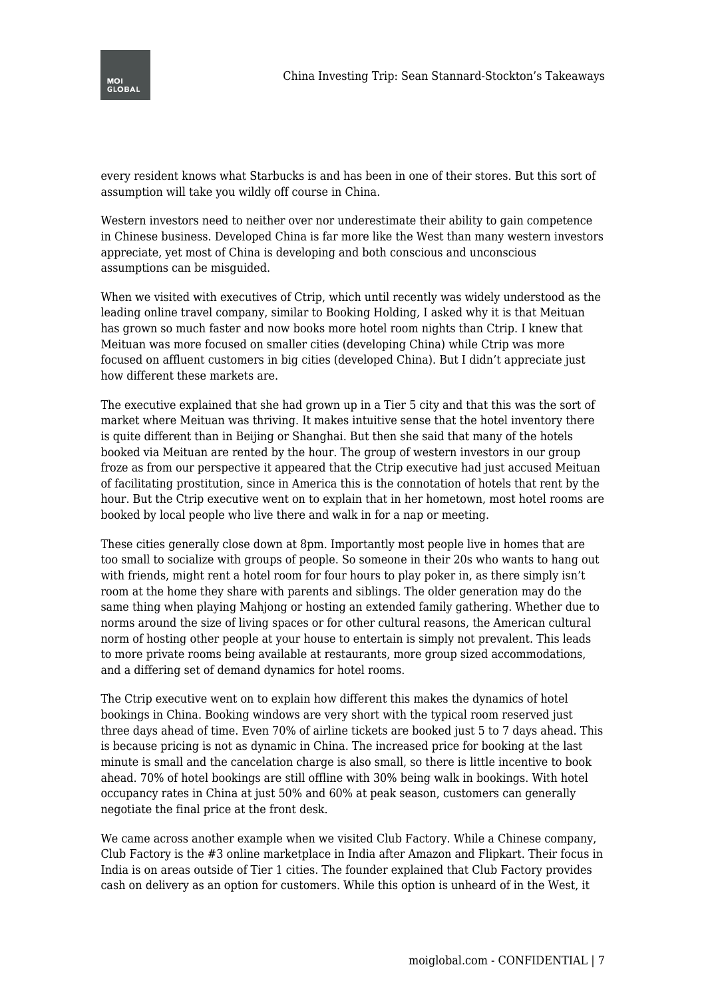



every resident knows what Starbucks is and has been in one of their stores. But this sort of assumption will take you wildly off course in China.

Western investors need to neither over nor underestimate their ability to gain competence in Chinese business. Developed China is far more like the West than many western investors appreciate, yet most of China is developing and both conscious and unconscious assumptions can be misguided.

When we visited with executives of Ctrip, which until recently was widely understood as the leading online travel company, similar to Booking Holding, I asked why it is that Meituan has grown so much faster and now books more hotel room nights than Ctrip. I knew that Meituan was more focused on smaller cities (developing China) while Ctrip was more focused on affluent customers in big cities (developed China). But I didn't appreciate just how different these markets are.

The executive explained that she had grown up in a Tier 5 city and that this was the sort of market where Meituan was thriving. It makes intuitive sense that the hotel inventory there is quite different than in Beijing or Shanghai. But then she said that many of the hotels booked via Meituan are rented by the hour. The group of western investors in our group froze as from our perspective it appeared that the Ctrip executive had just accused Meituan of facilitating prostitution, since in America this is the connotation of hotels that rent by the hour. But the Ctrip executive went on to explain that in her hometown, most hotel rooms are booked by local people who live there and walk in for a nap or meeting.

These cities generally close down at 8pm. Importantly most people live in homes that are too small to socialize with groups of people. So someone in their 20s who wants to hang out with friends, might rent a hotel room for four hours to play poker in, as there simply isn't room at the home they share with parents and siblings. The older generation may do the same thing when playing Mahjong or hosting an extended family gathering. Whether due to norms around the size of living spaces or for other cultural reasons, the American cultural norm of hosting other people at your house to entertain is simply not prevalent. This leads to more private rooms being available at restaurants, more group sized accommodations, and a differing set of demand dynamics for hotel rooms.

The Ctrip executive went on to explain how different this makes the dynamics of hotel bookings in China. Booking windows are very short with the typical room reserved just three days ahead of time. Even 70% of airline tickets are booked just 5 to 7 days ahead. This is because pricing is not as dynamic in China. The increased price for booking at the last minute is small and the cancelation charge is also small, so there is little incentive to book ahead. 70% of hotel bookings are still offline with 30% being walk in bookings. With hotel occupancy rates in China at just 50% and 60% at peak season, customers can generally negotiate the final price at the front desk.

We came across another example when we visited Club Factory. While a Chinese company, Club Factory is the #3 online marketplace in India after Amazon and Flipkart. Their focus in India is on areas outside of Tier 1 cities. The founder explained that Club Factory provides cash on delivery as an option for customers. While this option is unheard of in the West, it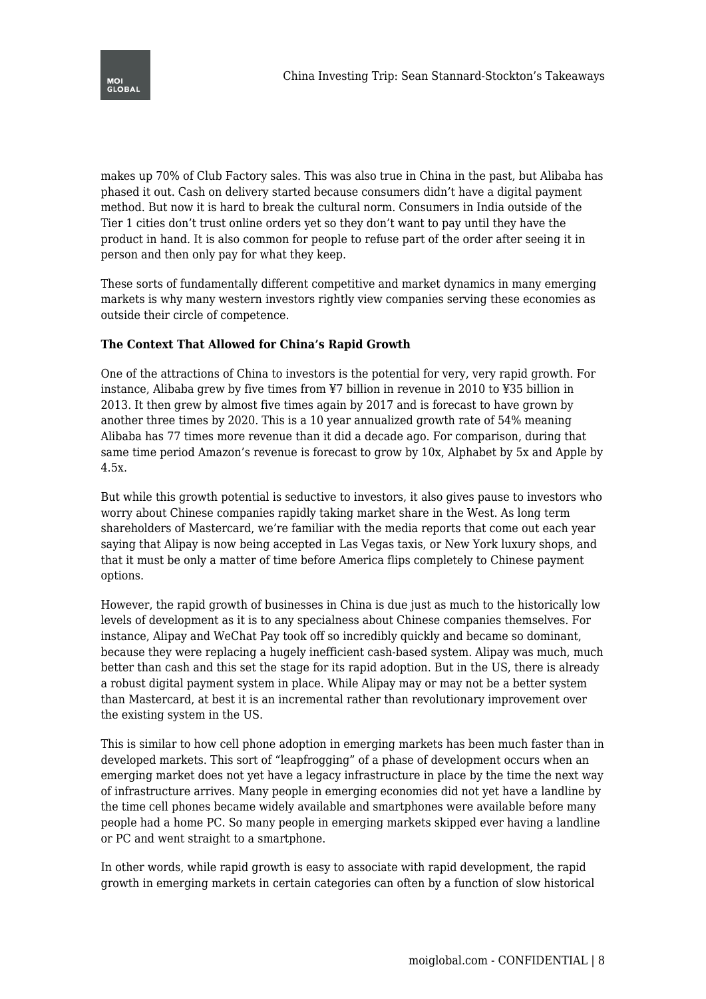



makes up 70% of Club Factory sales. This was also true in China in the past, but Alibaba has phased it out. Cash on delivery started because consumers didn't have a digital payment method. But now it is hard to break the cultural norm. Consumers in India outside of the Tier 1 cities don't trust online orders yet so they don't want to pay until they have the product in hand. It is also common for people to refuse part of the order after seeing it in person and then only pay for what they keep.

These sorts of fundamentally different competitive and market dynamics in many emerging markets is why many western investors rightly view companies serving these economies as outside their circle of competence.

## **The Context That Allowed for China's Rapid Growth**

One of the attractions of China to investors is the potential for very, very rapid growth. For instance, Alibaba grew by five times from ¥7 billion in revenue in 2010 to ¥35 billion in 2013. It then grew by almost five times again by 2017 and is forecast to have grown by another three times by 2020. This is a 10 year annualized growth rate of 54% meaning Alibaba has 77 times more revenue than it did a decade ago. For comparison, during that same time period Amazon's revenue is forecast to grow by 10x, Alphabet by 5x and Apple by 4.5x.

But while this growth potential is seductive to investors, it also gives pause to investors who worry about Chinese companies rapidly taking market share in the West. As long term shareholders of Mastercard, we're familiar with the media reports that come out each year saying that Alipay is now being accepted in Las Vegas taxis, or New York luxury shops, and that it must be only a matter of time before America flips completely to Chinese payment options.

However, the rapid growth of businesses in China is due just as much to the historically low levels of development as it is to any specialness about Chinese companies themselves. For instance, Alipay and WeChat Pay took off so incredibly quickly and became so dominant, because they were replacing a hugely inefficient cash-based system. Alipay was much, much better than cash and this set the stage for its rapid adoption. But in the US, there is already a robust digital payment system in place. While Alipay may or may not be a better system than Mastercard, at best it is an incremental rather than revolutionary improvement over the existing system in the US.

This is similar to how cell phone adoption in emerging markets has been much faster than in developed markets. This sort of "leapfrogging" of a phase of development occurs when an emerging market does not yet have a legacy infrastructure in place by the time the next way of infrastructure arrives. Many people in emerging economies did not yet have a landline by the time cell phones became widely available and smartphones were available before many people had a home PC. So many people in emerging markets skipped ever having a landline or PC and went straight to a smartphone.

In other words, while rapid growth is easy to associate with rapid development, the rapid growth in emerging markets in certain categories can often by a function of slow historical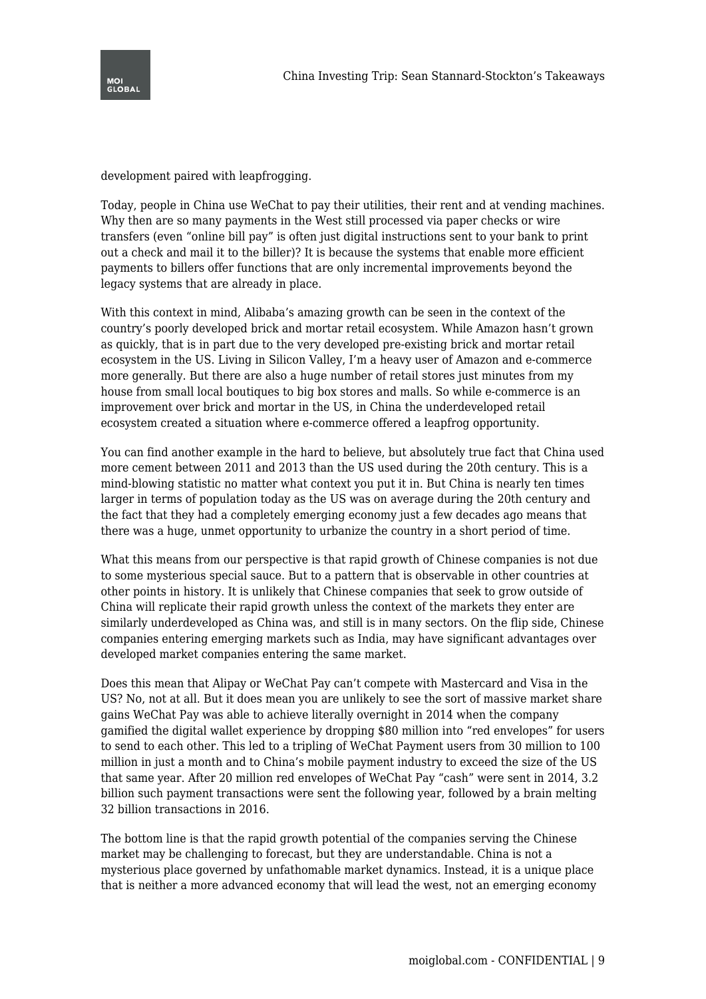

development paired with leapfrogging.

Today, people in China use WeChat to pay their utilities, their rent and at vending machines. Why then are so many payments in the West still processed via paper checks or wire transfers (even "online bill pay" is often just digital instructions sent to your bank to print out a check and mail it to the biller)? It is because the systems that enable more efficient payments to billers offer functions that are only incremental improvements beyond the legacy systems that are already in place.

With this context in mind, Alibaba's amazing growth can be seen in the context of the country's poorly developed brick and mortar retail ecosystem. While Amazon hasn't grown as quickly, that is in part due to the very developed pre-existing brick and mortar retail ecosystem in the US. Living in Silicon Valley, I'm a heavy user of Amazon and e-commerce more generally. But there are also a huge number of retail stores just minutes from my house from small local boutiques to big box stores and malls. So while e-commerce is an improvement over brick and mortar in the US, in China the underdeveloped retail ecosystem created a situation where e-commerce offered a leapfrog opportunity.

You can find another example in the hard to believe, but absolutely true fact that China used more cement between 2011 and 2013 than the US used during the 20th century. This is a mind-blowing statistic no matter what context you put it in. But China is nearly ten times larger in terms of population today as the US was on average during the 20th century and the fact that they had a completely emerging economy just a few decades ago means that there was a huge, unmet opportunity to urbanize the country in a short period of time.

What this means from our perspective is that rapid growth of Chinese companies is not due to some mysterious special sauce. But to a pattern that is observable in other countries at other points in history. It is unlikely that Chinese companies that seek to grow outside of China will replicate their rapid growth unless the context of the markets they enter are similarly underdeveloped as China was, and still is in many sectors. On the flip side, Chinese companies entering emerging markets such as India, may have significant advantages over developed market companies entering the same market.

Does this mean that Alipay or WeChat Pay can't compete with Mastercard and Visa in the US? No, not at all. But it does mean you are unlikely to see the sort of massive market share gains WeChat Pay was able to achieve literally overnight in 2014 when the company gamified the digital wallet experience by dropping \$80 million into "red envelopes" for users to send to each other. This led to a tripling of WeChat Payment users from 30 million to 100 million in just a month and to China's mobile payment industry to exceed the size of the US that same year. After 20 million red envelopes of WeChat Pay "cash" were sent in 2014, 3.2 billion such payment transactions were sent the following year, followed by a brain melting 32 billion transactions in 2016.

The bottom line is that the rapid growth potential of the companies serving the Chinese market may be challenging to forecast, but they are understandable. China is not a mysterious place governed by unfathomable market dynamics. Instead, it is a unique place that is neither a more advanced economy that will lead the west, not an emerging economy